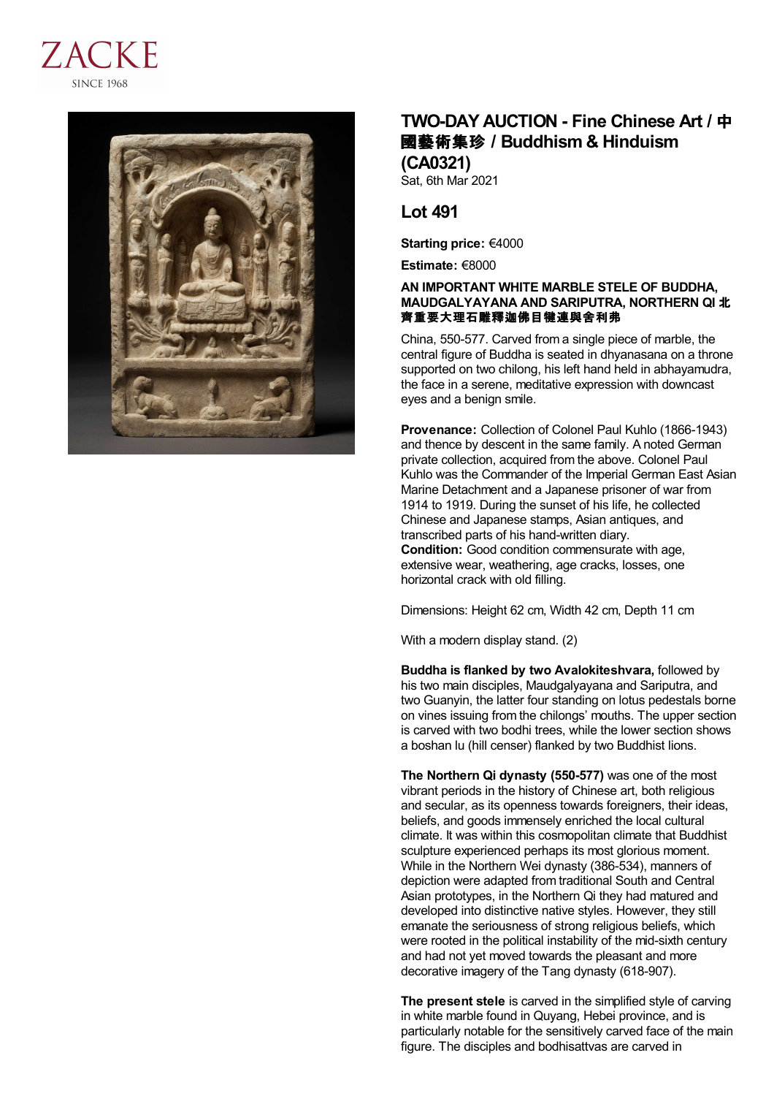



## **TWO-DAY AUCTION - Fine Chinese Art /** 中 國藝術集珍 **/Buddhism & Hinduism (CA0321)**

Sat, 6th Mar 2021

## **Lot 491**

**Starting price:** €4000

**Estimate:** €8000

## **AN IMPORTANT WHITE MARBLE STELE OF BUDDHA, MAUDGALYAYANA AND SARIPUTRA, NORTHERN QI** 北 齊重要大理石雕釋迦佛目犍連與舍利弗

China, 550-577. Carved from a single piece of marble, the central figure of Buddha is seated in dhyanasana on a throne supported on two chilong, his left hand held in abhayamudra, the face in a serene, meditative expression with downcast eyes and a benign smile.

**Provenance:** Collection of Colonel Paul Kuhlo (1866-1943) and thence by descent in the same family. A noted German private collection, acquired from the above. Colonel Paul Kuhlo was the Commander of the Imperial German East Asian Marine Detachment and a Japanese prisoner of war from 1914 to 1919. During the sunset of his life, he collected Chinese and Japanese stamps, Asian antiques, and transcribed parts of his hand-written diary. **Condition:** Good condition commensurate with age, extensive wear, weathering, age cracks, losses, one horizontal crack with old filling.

Dimensions: Height 62 cm, Width 42 cm, Depth 11 cm

With a modern display stand. (2)

**Buddha is flanked by two Avalokiteshvara,** followed by his two main disciples, Maudgalyayana and Sariputra, and two Guanyin, the latter four standing on lotus pedestals borne on vines issuing from the chilongs' mouths. The upper section is carved with two bodhi trees, while the lower section shows a boshan lu (hill censer) flanked by two Buddhist lions.

**The Northern Qi dynasty (550-577)** was one of the most vibrant periods in the history of Chinese art, both religious and secular, as its openness towards foreigners, their ideas, beliefs, and goods immensely enriched the local cultural climate. It was within this cosmopolitan climate that Buddhist sculpture experienced perhaps its most glorious moment. While in the Northern Wei dynasty (386-534), manners of depiction were adapted from traditional South and Central Asian prototypes, in the Northern Qi they had matured and developed into distinctive native styles. However, they still emanate the seriousness of strong religious beliefs, which were rooted in the political instability of the mid-sixth century and had not yet moved towards the pleasant and more decorative imagery of the Tang dynasty (618-907).

**The present stele** is carved in the simplified style of carving in white marble found in Quyang, Hebei province, and is particularly notable for the sensitively carved face of the main figure. The disciples and bodhisattvas are carved in